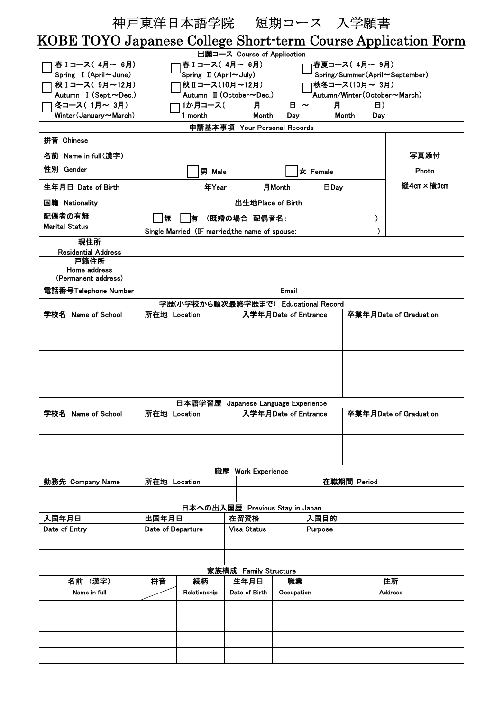|                                                               |                   | 神戸東洋日本語学院  短期コース 入学願書                                       |                                 |                      |  |              |               |                        |  |  |
|---------------------------------------------------------------|-------------------|-------------------------------------------------------------|---------------------------------|----------------------|--|--------------|---------------|------------------------|--|--|
| KOBE TOYO Japanese College Short-term Course Application Form |                   |                                                             |                                 |                      |  |              |               |                        |  |  |
|                                                               |                   |                                                             | 出願コース Course of Application     |                      |  |              |               |                        |  |  |
| 春 Iコース(4月~6月)                                                 |                   | 春 I コース( 4月~ 6月)<br>Spring $\mathbb{I}$ (April $\sim$ July) |                                 |                      |  | 春夏コース(4月~9月) |               |                        |  |  |
| Spring I (April~June)                                         |                   | Spring/Summer(April~September)                              |                                 |                      |  |              |               |                        |  |  |
| 秋 Iコース(9月~12月)                                                |                   | 1秋冬コース(10月~ 3月)                                             |                                 |                      |  |              |               |                        |  |  |
| Autumn I (Sept.~Dec.)                                         |                   | Autumn/Winter(October~March)                                |                                 |                      |  |              |               |                        |  |  |
| 冬コース(1月~3月)                                                   |                   | 1か月コース(                                                     | 月                               | $H \sim$             |  | 月            | <b>B</b> )    |                        |  |  |
| Winter (January~March)                                        |                   | 1 month                                                     | Month                           | Dav                  |  | Month        | Day           |                        |  |  |
|                                                               |                   |                                                             | 申請基本事項 Your Personal Records    |                      |  |              |               |                        |  |  |
| 拼音 Chinese                                                    |                   |                                                             |                                 |                      |  |              |               |                        |  |  |
| 名前 Name in full(漢字)                                           |                   |                                                             |                                 |                      |  | 写真添付         |               |                        |  |  |
| 性別 Gender                                                     |                   | 男 Male                                                      |                                 | 女 Female             |  |              |               | Photo                  |  |  |
| 生年月日 Date of Birth                                            |                   | 年Year                                                       |                                 | 月Month               |  | <b>日Day</b>  |               | 縦4cm×横3cm              |  |  |
| 国籍 Nationality                                                |                   |                                                             | 出生地Place of Birth               |                      |  |              |               |                        |  |  |
| 配偶者の有無                                                        | 無                 | 侑                                                           | (既婚の場合 配偶者名:                    |                      |  |              | $\mathcal{Y}$ |                        |  |  |
| <b>Marital Status</b>                                         |                   | Single Married (IF married the name of spouse:              |                                 |                      |  |              |               |                        |  |  |
| 現住所                                                           |                   |                                                             |                                 |                      |  |              |               |                        |  |  |
| <b>Residential Address</b>                                    |                   |                                                             |                                 |                      |  |              |               |                        |  |  |
| 戸籍住所                                                          |                   |                                                             |                                 |                      |  |              |               |                        |  |  |
| Home address<br>(Permanent address)                           |                   |                                                             |                                 |                      |  |              |               |                        |  |  |
| 電話番号Telephone Number                                          |                   |                                                             |                                 | Email                |  |              |               |                        |  |  |
|                                                               |                   | 学歴(小学校から順次最終学歴まで) Educational Record                        |                                 |                      |  |              |               |                        |  |  |
| 学校名 Name of School                                            | 所在地 Location      |                                                             |                                 | 入学年月Date of Entrance |  |              |               | 卒業年月Date of Graduation |  |  |
|                                                               |                   |                                                             |                                 |                      |  |              |               |                        |  |  |
|                                                               |                   |                                                             |                                 |                      |  |              |               |                        |  |  |
|                                                               |                   |                                                             |                                 |                      |  |              |               |                        |  |  |
|                                                               |                   |                                                             |                                 |                      |  |              |               |                        |  |  |
|                                                               |                   |                                                             |                                 |                      |  |              |               |                        |  |  |
|                                                               |                   |                                                             |                                 |                      |  |              |               |                        |  |  |
|                                                               |                   |                                                             |                                 |                      |  |              |               |                        |  |  |
|                                                               |                   | 日本語学習歴 Japanese Language Experience                         |                                 |                      |  |              |               |                        |  |  |
| 学校名 Name of School                                            | 所在地 Location      |                                                             |                                 | 入学年月Date of Entrance |  |              |               | 卒業年月Date of Graduation |  |  |
|                                                               |                   |                                                             |                                 |                      |  |              |               |                        |  |  |
|                                                               |                   |                                                             |                                 |                      |  |              |               |                        |  |  |
|                                                               |                   |                                                             |                                 |                      |  |              |               |                        |  |  |
|                                                               |                   |                                                             |                                 |                      |  |              |               |                        |  |  |
|                                                               |                   |                                                             |                                 | 職歴 Work Experience   |  |              |               |                        |  |  |
| 勤務先 Company Name                                              | 所在地 Location      |                                                             |                                 | 在職期間 Period          |  |              |               |                        |  |  |
|                                                               |                   |                                                             |                                 |                      |  |              |               |                        |  |  |
|                                                               |                   |                                                             | 日本への出入国歴 Previous Stay in Japan |                      |  |              |               |                        |  |  |
| 入国年月日                                                         | 出国年月日             |                                                             | 在留資格                            | 入国目的                 |  |              |               |                        |  |  |
| Date of Entry                                                 | Date of Departure |                                                             | <b>Visa Status</b>              | <b>Purpose</b>       |  |              |               |                        |  |  |
|                                                               |                   |                                                             |                                 |                      |  |              |               |                        |  |  |
|                                                               |                   |                                                             |                                 |                      |  |              |               |                        |  |  |
|                                                               |                   |                                                             | 家族構成 Family Structure           |                      |  |              |               |                        |  |  |
| 名前(漢字)                                                        | 拼音                | 続柄                                                          | 生年月日                            | 職業                   |  |              | 住所            |                        |  |  |
| Name in full                                                  | Relationship      |                                                             | Date of Birth                   | Occupation           |  |              |               | <b>Address</b>         |  |  |
|                                                               |                   |                                                             |                                 |                      |  |              |               |                        |  |  |
|                                                               |                   |                                                             |                                 |                      |  |              |               |                        |  |  |
|                                                               |                   |                                                             |                                 |                      |  |              |               |                        |  |  |
|                                                               |                   |                                                             |                                 |                      |  |              |               |                        |  |  |
|                                                               |                   |                                                             |                                 |                      |  |              |               |                        |  |  |